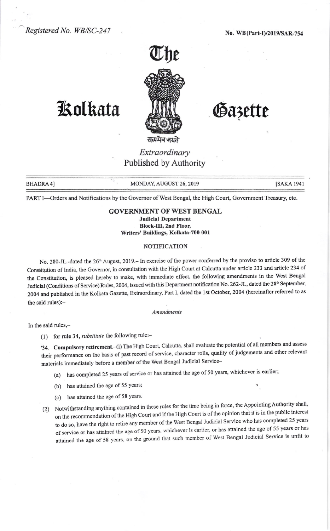

## Kolkata MM Gazette

Extraordinary Published by Authority

BHADRA 4] MONDAY, AUGUST 26, 2019

PART I-Orders and Notifications by the Governor of West Bengal, the High Court, Government Treasury, etc.

## GOVERNMENT OF WEST BENGAL Judicial Department Block-III, 2nd Floor, Writers' Buildings, Kolkata-700 001

## NOTIFICATION

No. 280-JL.-dated the 26<sup>th</sup> August, 2019.– In exercise of the power conferred by the proviso to article 309 of the Constitution of India, the Governor, in consultation with the High Court at Calcutta under article 233 and article 234 of the Constitution, is pleased hereby to make, with immediate effect, the following amendments in the West Bengal Judicial (Conditions of Service) Rules, 2004, issued with this Department notification No. 262-JL, dated the 28<sup>th</sup> September, 2004 and published in the Kolkata Gazette, Extraordinary, Part I, dated the 1st October, 2004 (hereinafter referred to as the said rules):-

Amendments

In the said rules,-

(1) for rule 34, substitute the following rule:-

'34. Compulsory retirement.-(1) The High Court, Calcutta, shall evaluate the potential of all members and assess their performance on the basis of past record of service, character rolls, quality of judgements and other relevant materials immediately before a member of the West Bengal Judicial Service-

(a) has completed 25 years of service or has attained the age of 50 years, whichever is earlier;

- (b) has attained the age of 55 years;
- (c) has attained the age of 58 years.
- (2) Notwithstanding anything contained in these rules for the time being in force, the Appointing Authority shall, on the recommendation of the High Court and if the High Court is of the opinion that it is in the public interest to do so, have the right to retire any member of the West Bengal Judicial Service who has completed 25 years of service or has attained the age of 50 years, whichever is earlier, or has attained the age of 55 years or has attained the age of 58 years, on the ground that such member of West Bengal Judicial Service is unfit to